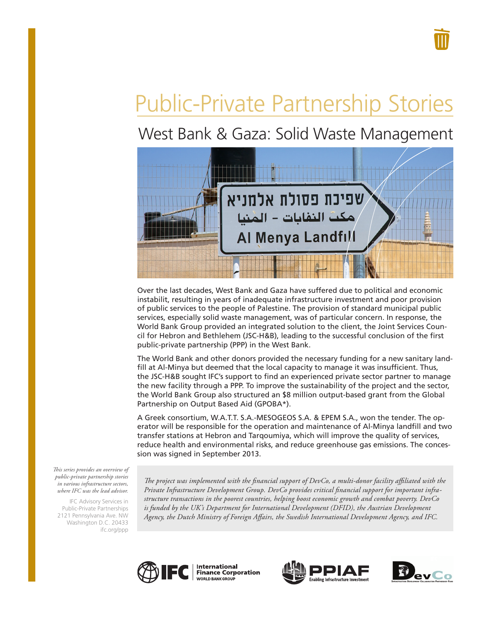# Public-Private Partnership Stories

# West Bank & Gaza: Solid Waste Management



Over the last decades, West Bank and Gaza have suffered due to political and economic instabilit, resulting in years of inadequate infrastructure investment and poor provision of public services to the people of Palestine. The provision of standard municipal public services, especially solid waste management, was of particular concern. In response, the World Bank Group provided an integrated solution to the client, the Joint Services Council for Hebron and Bethlehem (JSC-H&B), leading to the successful conclusion of the first public-private partnership (PPP) in the West Bank.

The World Bank and other donors provided the necessary funding for a new sanitary landfill at Al-Minya but deemed that the local capacity to manage it was insufficient. Thus, the JSC-H&B sought IFC's support to find an experienced private sector partner to manage the new facility through a PPP. To improve the sustainability of the project and the sector, the World Bank Group also structured an \$8 million output-based grant from the Global Partnership on Output Based Aid (GPOBA\*).

A Greek consortium, W.A.T.T. S.A.-MESOGEOS S.A. & EPEM S.A., won the tender. The operator will be responsible for the operation and maintenance of Al-Minya landfill and two transfer stations at Hebron and Tarqoumiya, which will improve the quality of services, reduce health and environmental risks, and reduce greenhouse gas emissions. The concession was signed in September 2013.

*This series provides an overview of public-private partnership stories in various infrastructure sectors, where IFC was the lead advisor.* 

IFC Advisory Services in Public-Private Partnerships 2121 Pennsylvania Ave. NW Washington D.C. 20433 ifc.org/ppp

*The project was implemented with the financial support of DevCo, a multi-donor facility affiliated with the Private Infrastructure Development Group. DevCo provides critical financial support for important infrastructure transactions in the poorest countries, helping boost economic growth and combat poverty. DevCo*  is funded by the UK's Department for International Development (DFID), the Austrian Development *Agency, the Dutch Ministry of Foreign Affairs, the Swedish International Development Agency, and IFC.*